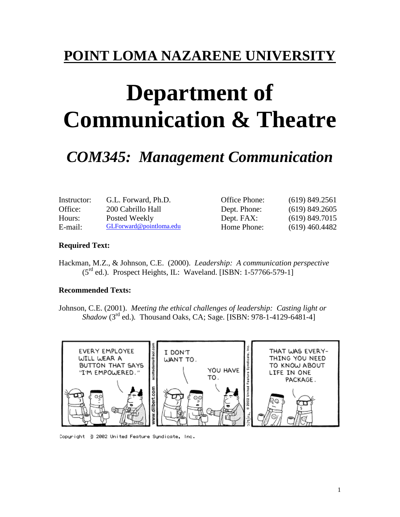## **POINT LOMA NAZARENE UNIVERSITY**

# **Department of Communication & Theatre**

## *COM345: Management Communication*

| Instructor: | G.L. Forward, Ph.D.     | Office Phone: | (619) 849.2561   |
|-------------|-------------------------|---------------|------------------|
| Office:     | 200 Cabrillo Hall       | Dept. Phone:  | $(619)$ 849.2605 |
| Hours:      | Posted Weekly           | Dept. FAX:    | $(619)$ 849.7015 |
| E-mail:     | GLForward@pointloma.edu | Home Phone:   | $(619)$ 460.4482 |

#### **Required Text:**

Hackman, M.Z., & Johnson, C.E. (2000). *Leadership: A communication perspective*  (5rd ed.). Prospect Heights, IL: Waveland. [ISBN: 1-57766-579-1]

#### **Recommended Texts:**

Johnson, C.E. (2001). *Meeting the ethical challenges of leadership: Casting light or Shadow* (3rd ed.)*.* Thousand Oaks, CA; Sage. [ISBN: 978-1-4129-6481-4]



Copuright 3 2002 United Feature Sundicate, Inc.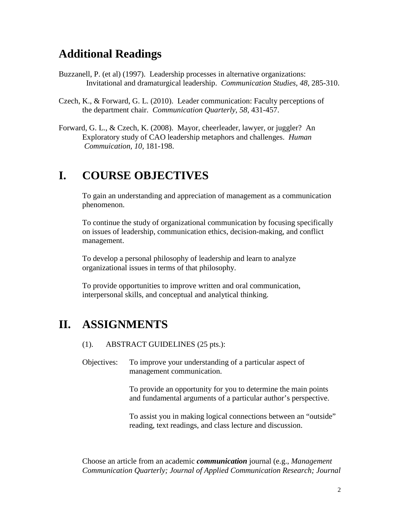## **Additional Readings**

- Buzzanell, P. (et al) (1997). Leadership processes in alternative organizations: Invitational and dramaturgical leadership. *Communication Studies, 48*, 285-310.
- Czech, K., & Forward, G. L. (2010). Leader communication: Faculty perceptions of the department chair. *Communication Quarterly*, *58,* 431-457.
- Forward, G. L., & Czech, K. (2008). Mayor, cheerleader, lawyer, or juggler? An Exploratory study of CAO leadership metaphors and challenges. *Human Commuication, 10,* 181-198.

### **I. COURSE OBJECTIVES**

To gain an understanding and appreciation of management as a communication phenomenon.

To continue the study of organizational communication by focusing specifically on issues of leadership, communication ethics, decision-making, and conflict management.

To develop a personal philosophy of leadership and learn to analyze organizational issues in terms of that philosophy.

To provide opportunities to improve written and oral communication, interpersonal skills, and conceptual and analytical thinking.

## **II. ASSIGNMENTS**

- (1). ABSTRACT GUIDELINES (25 pts.):
- Objectives: To improve your understanding of a particular aspect of management communication.

To provide an opportunity for you to determine the main points and fundamental arguments of a particular author's perspective.

To assist you in making logical connections between an "outside" reading, text readings, and class lecture and discussion.

Choose an article from an academic *communication* journal (e.g., *Management Communication Quarterly; Journal of Applied Communication Research; Journal*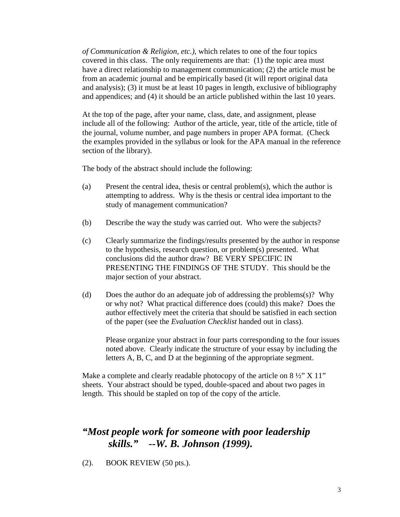*of Communication & Religion, etc.)*, which relates to one of the four topics covered in this class. The only requirements are that: (1) the topic area must have a direct relationship to management communication; (2) the article must be from an academic journal and be empirically based (it will report original data and analysis); (3) it must be at least 10 pages in length, exclusive of bibliography and appendices; and (4) it should be an article published within the last 10 years.

At the top of the page, after your name, class, date, and assignment, please include all of the following: Author of the article, year, title of the article, title of the journal, volume number, and page numbers in proper APA format. (Check the examples provided in the syllabus or look for the APA manual in the reference section of the library).

The body of the abstract should include the following:

- (a) Present the central idea, thesis or central problem(s), which the author is attempting to address. Why is the thesis or central idea important to the study of management communication?
- (b) Describe the way the study was carried out. Who were the subjects?
- (c) Clearly summarize the findings/results presented by the author in response to the hypothesis, research question, or problem(s) presented. What conclusions did the author draw? BE VERY SPECIFIC IN PRESENTING THE FINDINGS OF THE STUDY. This should be the major section of your abstract.
- (d) Does the author do an adequate job of addressing the problems(s)? Why or why not? What practical difference does (could) this make? Does the author effectively meet the criteria that should be satisfied in each section of the paper (see the *Evaluation Checklist* handed out in class).

Please organize your abstract in four parts corresponding to the four issues noted above. Clearly indicate the structure of your essay by including the letters A, B, C, and D at the beginning of the appropriate segment.

Make a complete and clearly readable photocopy of the article on  $8\frac{1}{2}$ " X 11" sheets. Your abstract should be typed, double-spaced and about two pages in length. This should be stapled on top of the copy of the article.

### *"Most people work for someone with poor leadership skills." --W. B. Johnson (1999).*

(2). BOOK REVIEW (50 pts.).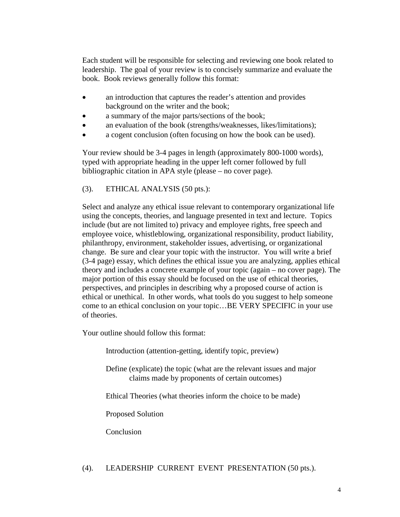Each student will be responsible for selecting and reviewing one book related to leadership. The goal of your review is to concisely summarize and evaluate the book. Book reviews generally follow this format:

- an introduction that captures the reader's attention and provides background on the writer and the book;
- a summary of the major parts/sections of the book;
- an evaluation of the book (strengths/weaknesses, likes/limitations);
- a cogent conclusion (often focusing on how the book can be used).

Your review should be 3-4 pages in length (approximately 800-1000 words), typed with appropriate heading in the upper left corner followed by full bibliographic citation in APA style (please – no cover page).

#### (3). ETHICAL ANALYSIS (50 pts.):

Select and analyze any ethical issue relevant to contemporary organizational life using the concepts, theories, and language presented in text and lecture. Topics include (but are not limited to) privacy and employee rights, free speech and employee voice, whistleblowing, organizational responsibility, product liability, philanthropy, environment, stakeholder issues, advertising, or organizational change. Be sure and clear your topic with the instructor. You will write a brief (3-4 page) essay, which defines the ethical issue you are analyzing, applies ethical theory and includes a concrete example of your topic (again – no cover page). The major portion of this essay should be focused on the use of ethical theories, perspectives, and principles in describing why a proposed course of action is ethical or unethical. In other words, what tools do you suggest to help someone come to an ethical conclusion on your topic…BE VERY SPECIFIC in your use of theories.

Your outline should follow this format:

Introduction (attention-getting, identify topic, preview)

Define (explicate) the topic (what are the relevant issues and major claims made by proponents of certain outcomes)

Ethical Theories (what theories inform the choice to be made)

Proposed Solution

Conclusion

#### (4). LEADERSHIP CURRENT EVENT PRESENTATION (50 pts.).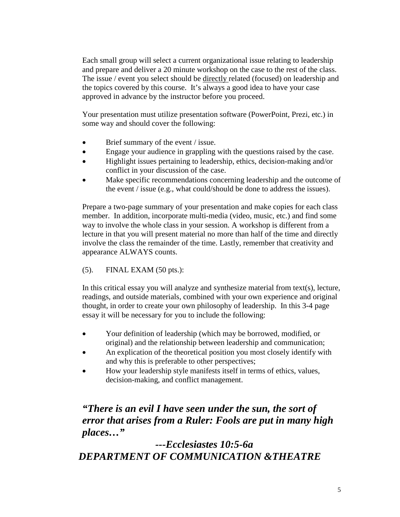Each small group will select a current organizational issue relating to leadership and prepare and deliver a 20 minute workshop on the case to the rest of the class. The issue / event you select should be directly related (focused) on leadership and the topics covered by this course. It's always a good idea to have your case approved in advance by the instructor before you proceed.

Your presentation must utilize presentation software (PowerPoint, Prezi, etc.) in some way and should cover the following:

- Brief summary of the event / issue.
- Engage your audience in grappling with the questions raised by the case.
- Highlight issues pertaining to leadership, ethics, decision-making and/or conflict in your discussion of the case.
- Make specific recommendations concerning leadership and the outcome of the event / issue (e.g., what could/should be done to address the issues).

Prepare a two-page summary of your presentation and make copies for each class member. In addition, incorporate multi-media (video, music, etc.) and find some way to involve the whole class in your session. A workshop is different from a lecture in that you will present material no more than half of the time and directly involve the class the remainder of the time. Lastly, remember that creativity and appearance ALWAYS counts.

#### (5). FINAL EXAM (50 pts.):

In this critical essay you will analyze and synthesize material from text(s), lecture, readings, and outside materials, combined with your own experience and original thought, in order to create your own philosophy of leadership. In this 3-4 page essay it will be necessary for you to include the following:

- Your definition of leadership (which may be borrowed, modified, or original) and the relationship between leadership and communication;
- An explication of the theoretical position you most closely identify with and why this is preferable to other perspectives;
- How your leadership style manifests itself in terms of ethics, values, decision-making, and conflict management.

### *"There is an evil I have seen under the sun, the sort of error that arises from a Ruler: Fools are put in many high places…"*

*---Ecclesiastes 10:5-6a DEPARTMENT OF COMMUNICATION &THEATRE*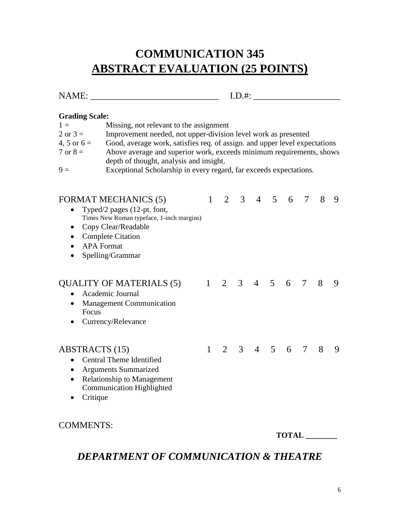## **COMMUNICATION 345 ABSTRACT EVALUATION (25 POINTS)**

| $\sqrt{ }$<br><b>NT</b><br>$\cdots$ | $\cdots$ |
|-------------------------------------|----------|
|                                     |          |

#### **Grading Scale:**

| $1 \equiv$          | Missing, not relevant to the assignment                                    |
|---------------------|----------------------------------------------------------------------------|
| $2 \text{ or } 3 =$ | Improvement needed, not upper-division level work as presented             |
| 4, 5 or $6 =$       | Good, average work, satisfies req. of assign. and upper level expectations |
| $7 \text{ or } 8 =$ | Above average and superior work, exceeds minimum requirements, shows       |
|                     | depth of thought, analysis and insight.                                    |
| $9 =$               | Exceptional Scholarship in every regard, far exceeds expectations.         |

| <b>FORMAT MECHANICS (5)</b><br>Typed/2 pages (12-pt. font,<br>Times New Roman typeface, 1-inch margins)<br>Copy Clear/Readable<br>$\bullet$<br><b>Complete Citation</b><br>$\bullet$<br><b>APA Format</b><br>Spelling/Grammar<br>٠ | 1            | 2 | 3              | $\overline{4}$ | 5          | 6   | 7 | 8 | 9 |
|------------------------------------------------------------------------------------------------------------------------------------------------------------------------------------------------------------------------------------|--------------|---|----------------|----------------|------------|-----|---|---|---|
| <b>QUALITY OF MATERIALS (5)</b><br>Academic Journal<br>$\bullet$<br><b>Management Communication</b><br>$\bullet$<br>Focus<br>Currency/Relevance                                                                                    | $\mathbf{1}$ | 2 | $\overline{3}$ | 4 5            |            | 6   | 7 | 8 | 9 |
| <b>ABSTRACTS</b> (15)<br><b>Central Theme Identified</b><br>$\bullet$<br><b>Arguments Summarized</b><br>$\bullet$<br><b>Relationship to Management</b><br>$\bullet$<br><b>Communication Highlighted</b><br>Critique                | $\mathbf{1}$ | 2 | 3 <sup>1</sup> |                | $4\quad 5$ | - 6 | 7 | 8 | 9 |
| <b>COMMENTS:</b>                                                                                                                                                                                                                   |              |   |                |                |            |     |   |   |   |

**TOTAL \_\_\_\_\_\_\_\_**

### *DEPARTMENT OF COMMUNICATION & THEATRE*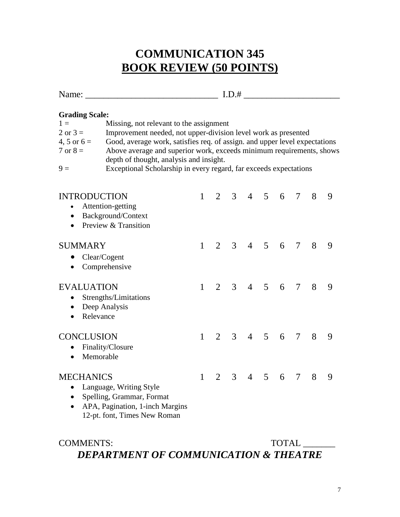## **COMMUNICATION 345 BOOK REVIEW (50 POINTS)**

| Name:                                                           |                                                                                                                                                                                                                                                                                                                                                                                                          |              |                |                |                |                |                    |                 |   |   |
|-----------------------------------------------------------------|----------------------------------------------------------------------------------------------------------------------------------------------------------------------------------------------------------------------------------------------------------------------------------------------------------------------------------------------------------------------------------------------------------|--------------|----------------|----------------|----------------|----------------|--------------------|-----------------|---|---|
| $1 =$<br>$2$ or $3 =$<br>4, 5 or $6 =$<br>$7$ or $8 =$<br>$9 =$ | <b>Grading Scale:</b><br>Missing, not relevant to the assignment<br>Improvement needed, not upper-division level work as presented<br>Good, average work, satisfies req. of assign. and upper level expectations<br>Above average and superior work, exceeds minimum requirements, shows<br>depth of thought, analysis and insight.<br>Exceptional Scholarship in every regard, far exceeds expectations |              |                |                |                |                |                    |                 |   |   |
| <b>INTRODUCTION</b><br>$\bullet$<br>$\bullet$                   | Attention-getting<br>Background/Context<br>Preview & Transition                                                                                                                                                                                                                                                                                                                                          | $\mathbf{1}$ | $\overline{2}$ |                |                |                | $3 \t 4 \t 5 \t 6$ | $\tau$          | 8 | 9 |
| <b>SUMMARY</b><br>Clear/Cogent<br>$\bullet$<br>$\bullet$        | Comprehensive                                                                                                                                                                                                                                                                                                                                                                                            | $\mathbf{1}$ | 2 <sup>1</sup> | $\mathcal{E}$  |                |                | $4\quad 5\quad 6$  | $7\overline{ }$ | 8 | 9 |
| <b>EVALUATION</b><br>$\bullet$<br>• Deep Analysis<br>Relevance  | Strengths/Limitations                                                                                                                                                                                                                                                                                                                                                                                    | $\mathbf{1}$ | $\mathcal{L}$  | $\mathfrak{Z}$ | $\overline{4}$ | $\overline{5}$ | 6                  | $\tau$          | 8 | 9 |
| <b>CONCLUSION</b><br>$\bullet$<br>Memorable<br>$\bullet$        | Finality/Closure                                                                                                                                                                                                                                                                                                                                                                                         | $\mathbf{1}$ | $\mathcal{L}$  | $\mathcal{E}$  | $\overline{4}$ | 5 <sup>5</sup> | 6 <sup>6</sup>     | $7\overline{ }$ | 8 | 9 |
| <b>MECHANICS</b><br>$\bullet$<br>$\bullet$                      | Language, Writing Style<br>Spelling, Grammar, Format<br>APA, Pagination, 1-inch Margins<br>12-pt. font, Times New Roman                                                                                                                                                                                                                                                                                  | $\mathbf{1}$ | $\overline{2}$ |                | $3 \quad 4$    | $\overline{5}$ | 6                  | $\overline{7}$  | 8 | 9 |

## COMMENTS: TOTAL \_\_\_\_\_\_\_ *DEPARTMENT OF COMMUNICATION & THEATRE*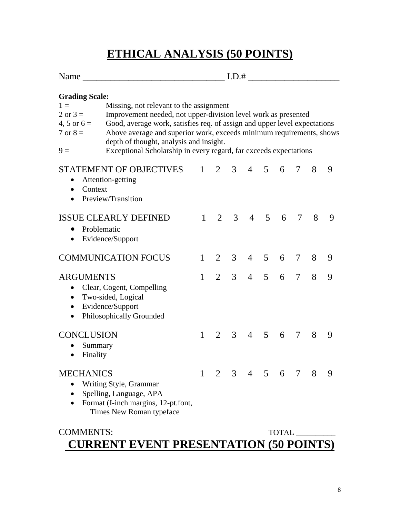## **ETHICAL ANALYSIS (50 POINTS)**

| Name                                                                                                                                                                                                                                                                                                                                                                                                                                                                              | I.D.#        |                |                |                |                |              |        |   |   |
|-----------------------------------------------------------------------------------------------------------------------------------------------------------------------------------------------------------------------------------------------------------------------------------------------------------------------------------------------------------------------------------------------------------------------------------------------------------------------------------|--------------|----------------|----------------|----------------|----------------|--------------|--------|---|---|
| <b>Grading Scale:</b><br>Missing, not relevant to the assignment<br>$1 =$<br>$2$ or $3 =$<br>Improvement needed, not upper-division level work as presented<br>Good, average work, satisfies req. of assign and upper level expectations<br>4, 5 or $6 =$<br>Above average and superior work, exceeds minimum requirements, shows<br>$7 \text{ or } 8 =$<br>depth of thought, analysis and insight.<br>Exceptional Scholarship in every regard, far exceeds expectations<br>$9 =$ |              |                |                |                |                |              |        |   |   |
| <b>STATEMENT OF OBJECTIVES</b><br>Attention-getting<br>$\bullet$<br>Context<br>$\bullet$<br>Preview/Transition<br>$\bullet$                                                                                                                                                                                                                                                                                                                                                       | $\mathbf{1}$ | $\overline{2}$ | 3 <sup>1</sup> | $\overline{4}$ | 5 <sup>5</sup> | 6            | 7      | 8 | 9 |
| <b>ISSUE CLEARLY DEFINED</b><br>Problematic<br>Evidence/Support<br>$\bullet$                                                                                                                                                                                                                                                                                                                                                                                                      | $\mathbf{1}$ | $\mathcal{L}$  | 3              | $\overline{4}$ | $\overline{5}$ | 6            | 7      | 8 | 9 |
| <b>COMMUNICATION FOCUS</b>                                                                                                                                                                                                                                                                                                                                                                                                                                                        | $\mathbf{1}$ | 2              | 3 <sup>7</sup> |                | 4 5            | 6            | $\tau$ | 8 | 9 |
| <b>ARGUMENTS</b><br>Clear, Cogent, Compelling<br>Two-sided, Logical<br>$\bullet$<br>Evidence/Support<br>$\bullet$<br>Philosophically Grounded<br>$\bullet$                                                                                                                                                                                                                                                                                                                        | $\mathbf{1}$ | $\overline{2}$ | $\mathfrak{Z}$ | $\overline{4}$ | 5              | 6            | $\tau$ | 8 | 9 |
| <b>CONCLUSION</b><br>Summary<br>Finality                                                                                                                                                                                                                                                                                                                                                                                                                                          | $\mathbf{1}$ | 2              | 3 <sup>7</sup> | $\overline{4}$ | 5              | 6            | 7      | 8 | 9 |
| <b>MECHANICS</b><br>Writing Style, Grammar<br>$\bullet$<br>Spelling, Language, APA<br>$\bullet$<br>Format (I-inch margins, 12-pt.font,<br>Times New Roman typeface                                                                                                                                                                                                                                                                                                                | $\mathbf{1}$ |                |                |                |                | 2 3 4 5 6 7  |        | 8 | 9 |
| COMMENTS                                                                                                                                                                                                                                                                                                                                                                                                                                                                          |              |                |                |                |                | <b>TOTAI</b> |        |   |   |

#### COMMENTS: TOTAL **CURRENT EVENT PRESENTATION (50 POINTS)**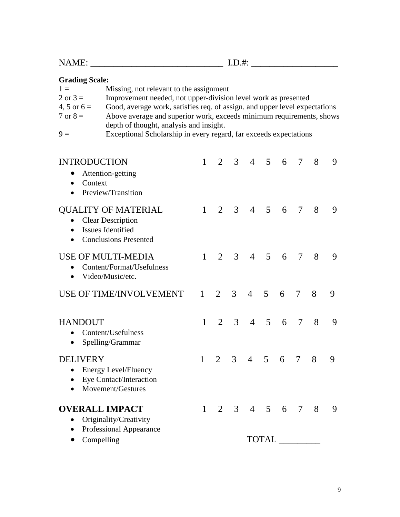| <b>Grading Scale:</b>                                                  |                                                                                                                                                                                                                                                                                                                                                                                 |              |                             |                |                     |                |   |        |   |   |
|------------------------------------------------------------------------|---------------------------------------------------------------------------------------------------------------------------------------------------------------------------------------------------------------------------------------------------------------------------------------------------------------------------------------------------------------------------------|--------------|-----------------------------|----------------|---------------------|----------------|---|--------|---|---|
| $1 =$<br>$2$ or $3 =$<br>4, 5 or $6 =$<br>$7 \text{ or } 8 =$<br>$9 =$ | Missing, not relevant to the assignment<br>Improvement needed, not upper-division level work as presented<br>Good, average work, satisfies req. of assign. and upper level expectations<br>Above average and superior work, exceeds minimum requirements, shows<br>depth of thought, analysis and insight.<br>Exceptional Scholarship in every regard, far exceeds expectations |              |                             |                |                     |                |   |        |   |   |
|                                                                        |                                                                                                                                                                                                                                                                                                                                                                                 |              |                             |                |                     |                |   |        |   |   |
| <b>INTRODUCTION</b><br>Context                                         | Attention-getting<br>Preview/Transition                                                                                                                                                                                                                                                                                                                                         | $\mathbf{1}$ | $\mathcal{L}$               |                | $3 \t 4 \t 5$       |                | 6 | $\tau$ | 8 | 9 |
| $\bullet$<br>$\bullet$                                                 | <b>QUALITY OF MATERIAL</b><br><b>Clear Description</b><br>Issues Identified<br><b>Conclusions Presented</b>                                                                                                                                                                                                                                                                     | $\mathbf{1}$ | $\mathcal{D}_{\mathcal{L}}$ | $\mathfrak{Z}$ | $\overline{4}$      | $\overline{5}$ | 6 | 7      | 8 | 9 |
| $\bullet$                                                              | <b>USE OF MULTI-MEDIA</b><br>Content/Format/Usefulness<br>Video/Music/etc.                                                                                                                                                                                                                                                                                                      | $\mathbf{1}$ | $\mathcal{D}_{\mathcal{L}}$ | 3              | $\overline{4}$      | $\overline{5}$ | 6 | $\tau$ | 8 | 9 |
|                                                                        | <b>USE OF TIME/INVOLVEMENT</b>                                                                                                                                                                                                                                                                                                                                                  | $\mathbf{1}$ | $\overline{2}$              | 3              | $\overline{4}$      | 5              | 6 | 7      | 8 | 9 |
| <b>HANDOUT</b>                                                         | Content/Usefulness<br>Spelling/Grammar                                                                                                                                                                                                                                                                                                                                          | $\mathbf{1}$ | $\mathcal{L}$               | 3              | $\overline{4}$      | 5 <sup>1</sup> | 6 | 7      | 8 | 9 |
| <b>DELIVERY</b>                                                        | <b>Energy Level/Fluency</b><br>Eye Contact/Interaction<br>Movement/Gestures                                                                                                                                                                                                                                                                                                     | 1            | 2                           | 3              | $\overline{4}$      | 5              | 6 | 7      | 8 | 9 |
| <b>OVERALL IMPACT</b>                                                  | Originality/Creativity<br>Professional Appearance                                                                                                                                                                                                                                                                                                                               | $1 \quad$    |                             |                | $2 \t3 \t4 \t5 \t6$ |                |   | 7      | 8 | 9 |
| Compelling                                                             |                                                                                                                                                                                                                                                                                                                                                                                 |              |                             |                |                     | TOTAL_         |   |        |   |   |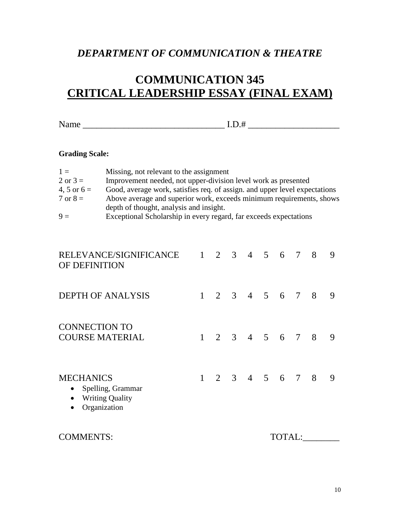### *DEPARTMENT OF COMMUNICATION & THEATRE*

## **COMMUNICATION 345 CRITICAL LEADERSHIP ESSAY (FINAL EXAM)**

Name \_\_\_\_\_\_\_\_\_\_\_\_\_\_\_\_\_\_\_\_\_\_\_\_\_\_\_\_\_\_\_ I.D.# \_\_\_\_\_\_\_\_\_\_\_\_\_\_\_\_\_\_\_\_

#### **Grading Scale:**

| $1 =$               | Missing, not relevant to the assignment                                    |
|---------------------|----------------------------------------------------------------------------|
| $2 \text{ or } 3 =$ | Improvement needed, not upper-division level work as presented             |
| 4, 5 or $6 =$       | Good, average work, satisfies req. of assign. and upper level expectations |
| $7 \text{ or } 8 =$ | Above average and superior work, exceeds minimum requirements, shows       |
|                     | depth of thought, analysis and insight.                                    |
| $\Omega -$          | Exceptional Scholarship in every regard for exceeds expectations           |

9 = Exceptional Scholarship in every regard, far exceeds expectations

| RELEVANCE/SIGNIFICANCE<br>OF DEFINITION                                                                                | 1            | 2 | 3 <sup>7</sup> | $\overline{4}$      | $\mathfrak{S}$ | - 6    | 7               | 8 | 9 |
|------------------------------------------------------------------------------------------------------------------------|--------------|---|----------------|---------------------|----------------|--------|-----------------|---|---|
| <b>DEPTH OF ANALYSIS</b>                                                                                               | $\mathbf{1}$ |   |                | $2 \t3 \t4 \t5 \t6$ |                |        | $7\overline{ }$ | 8 | 9 |
| <b>CONNECTION TO</b><br><b>COURSE MATERIAL</b>                                                                         | $\mathbf{1}$ |   |                | 2 3 4 5 6 7 8       |                |        |                 |   | 9 |
| <b>MECHANICS</b><br>Spelling, Grammar<br>$\bullet$<br><b>Writing Quality</b><br>$\bullet$<br>Organization<br>$\bullet$ | $\mathbf{1}$ |   |                | $2 \t3 \t4 \t5 \t6$ |                |        | $7\overline{ }$ | 8 | 9 |
| <b>COMMENTS:</b>                                                                                                       |              |   |                |                     |                | TOTAL: |                 |   |   |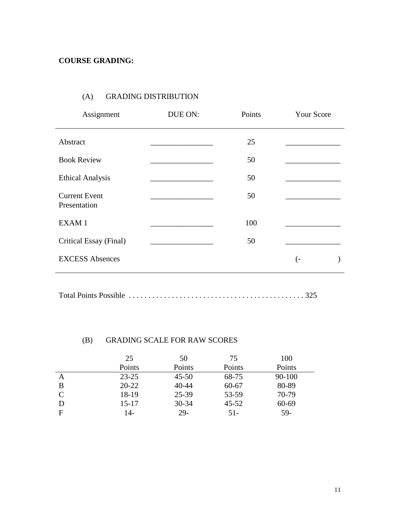#### (A) GRADING DISTRIBUTION

| Assignment                           | DUE ON: | Points | <b>Your Score</b> |
|--------------------------------------|---------|--------|-------------------|
| Abstract                             |         | 25     |                   |
| <b>Book Review</b>                   |         | 50     |                   |
| <b>Ethical Analysis</b>              |         | 50     |                   |
| <b>Current Event</b><br>Presentation |         | 50     |                   |
| EXAM 1                               |         | 100    |                   |
| Critical Essay (Final)               |         | 50     |                   |
| <b>EXCESS Absences</b>               |         |        | (-                |

Total Points Possible . . . . . . . . . . . . . . . . . . . . . . . . . . . . . . . . . . . . . . . . . . . . . 325

#### (B) GRADING SCALE FOR RAW SCORES

|   | 25        | 50        | 75        | 100        |
|---|-----------|-----------|-----------|------------|
|   | Points    | Points    | Points    | Points     |
| А | $23 - 25$ | $45 - 50$ | 68-75     | $90 - 100$ |
| В | $20 - 22$ | $40 - 44$ | $60 - 67$ | 80-89      |
|   | 18-19     | 25-39     | 53-59     | 70-79      |
| D | $15 - 17$ | $30 - 34$ | $45 - 52$ | 60-69      |
| F | 14-       | 29-       | $51-$     | 59-        |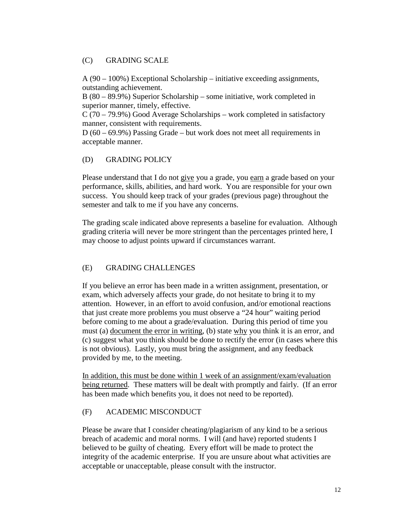#### (C) GRADING SCALE

A (90 – 100%) Exceptional Scholarship – initiative exceeding assignments, outstanding achievement.

B (80 – 89.9%) Superior Scholarship – some initiative, work completed in superior manner, timely, effective.

C (70 – 79.9%) Good Average Scholarships – work completed in satisfactory manner, consistent with requirements.

D (60 – 69.9%) Passing Grade – but work does not meet all requirements in acceptable manner.

#### (D) GRADING POLICY

Please understand that I do not give you a grade, you earn a grade based on your performance, skills, abilities, and hard work. You are responsible for your own success. You should keep track of your grades (previous page) throughout the semester and talk to me if you have any concerns.

The grading scale indicated above represents a baseline for evaluation. Although grading criteria will never be more stringent than the percentages printed here, I may choose to adjust points upward if circumstances warrant.

#### (E) GRADING CHALLENGES

If you believe an error has been made in a written assignment, presentation, or exam, which adversely affects your grade, do not hesitate to bring it to my attention. However, in an effort to avoid confusion, and/or emotional reactions that just create more problems you must observe a "24 hour" waiting period before coming to me about a grade/evaluation. During this period of time you must (a) document the error in writing, (b) state why you think it is an error, and (c) suggest what you think should be done to rectify the error (in cases where this is not obvious). Lastly, you must bring the assignment, and any feedback provided by me, to the meeting.

In addition, this must be done within 1 week of an assignment/exam/evaluation being returned. These matters will be dealt with promptly and fairly. (If an error has been made which benefits you, it does not need to be reported).

#### (F) ACADEMIC MISCONDUCT

Please be aware that I consider cheating/plagiarism of any kind to be a serious breach of academic and moral norms. I will (and have) reported students I believed to be guilty of cheating. Every effort will be made to protect the integrity of the academic enterprise. If you are unsure about what activities are acceptable or unacceptable, please consult with the instructor.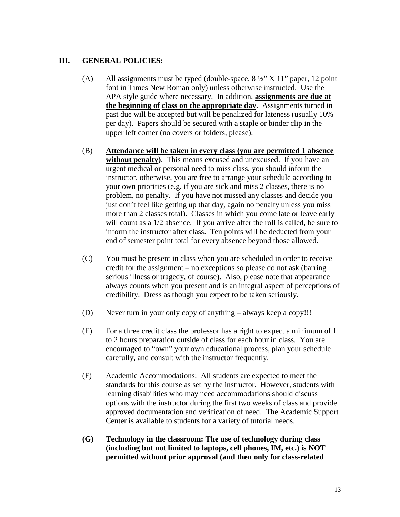#### **III. GENERAL POLICIES:**

- (A) All assignments must be typed (double-space, 8 ½" X 11" paper, 12 point font in Times New Roman only) unless otherwise instructed. Use the APA style guide where necessary. In addition, **assignments are due at the beginning of class on the appropriate day**. Assignments turned in past due will be accepted but will be penalized for lateness (usually 10% per day). Papers should be secured with a staple or binder clip in the upper left corner (no covers or folders, please).
- (B) **Attendance will be taken in every class (you are permitted 1 absence without penalty)**. This means excused and unexcused. If you have an urgent medical or personal need to miss class, you should inform the instructor, otherwise, you are free to arrange your schedule according to your own priorities (e.g. if you are sick and miss 2 classes, there is no problem, no penalty. If you have not missed any classes and decide you just don't feel like getting up that day, again no penalty unless you miss more than 2 classes total). Classes in which you come late or leave early will count as a  $1/2$  absence. If you arrive after the roll is called, be sure to inform the instructor after class. Ten points will be deducted from your end of semester point total for every absence beyond those allowed.
- (C) You must be present in class when you are scheduled in order to receive credit for the assignment – no exceptions so please do not ask (barring serious illness or tragedy, of course). Also, please note that appearance always counts when you present and is an integral aspect of perceptions of credibility. Dress as though you expect to be taken seriously.
- (D) Never turn in your only copy of anything always keep a copy!!!
- (E) For a three credit class the professor has a right to expect a minimum of 1 to 2 hours preparation outside of class for each hour in class. You are encouraged to "own" your own educational process, plan your schedule carefully, and consult with the instructor frequently.
- (F) Academic Accommodations: All students are expected to meet the standards for this course as set by the instructor. However, students with learning disabilities who may need accommodations should discuss options with the instructor during the first two weeks of class and provide approved documentation and verification of need. The Academic Support Center is available to students for a variety of tutorial needs.
- **(G) Technology in the classroom: The use of technology during class (including but not limited to laptops, cell phones, IM, etc.) is NOT permitted without prior approval (and then only for class-related**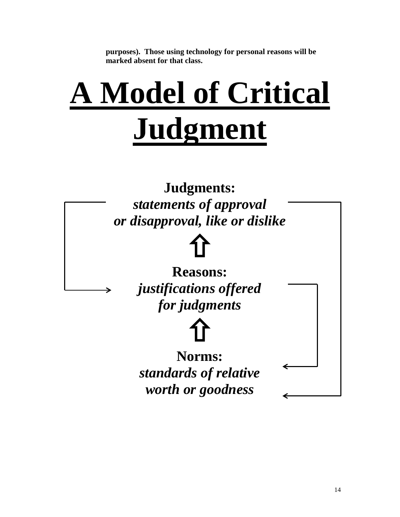**purposes). Those using technology for personal reasons will be marked absent for that class.**

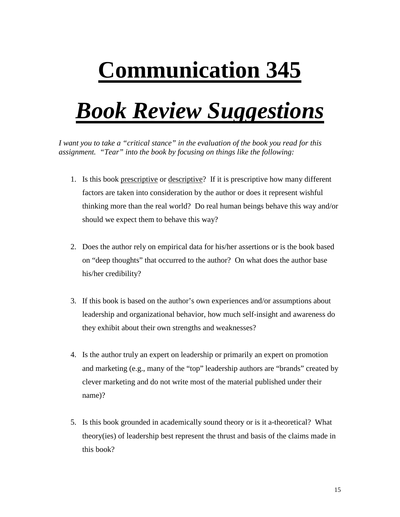# **Communication 345**

## *Book Review Suggestions*

*I want you to take a "critical stance" in the evaluation of the book you read for this assignment. "Tear" into the book by focusing on things like the following:*

- 1. Is this book prescriptive or descriptive? If it is prescriptive how many different factors are taken into consideration by the author or does it represent wishful thinking more than the real world? Do real human beings behave this way and/or should we expect them to behave this way?
- 2. Does the author rely on empirical data for his/her assertions or is the book based on "deep thoughts" that occurred to the author? On what does the author base his/her credibility?
- 3. If this book is based on the author's own experiences and/or assumptions about leadership and organizational behavior, how much self-insight and awareness do they exhibit about their own strengths and weaknesses?
- 4. Is the author truly an expert on leadership or primarily an expert on promotion and marketing (e.g., many of the "top" leadership authors are "brands" created by clever marketing and do not write most of the material published under their name)?
- 5. Is this book grounded in academically sound theory or is it a-theoretical? What theory(ies) of leadership best represent the thrust and basis of the claims made in this book?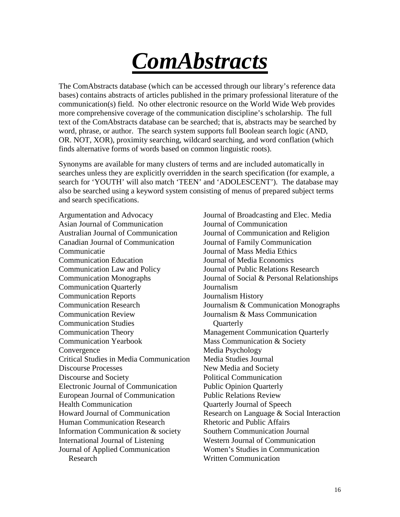# *ComAbstracts*

The ComAbstracts database (which can be accessed through our library's reference data bases) contains abstracts of articles published in the primary professional literature of the communication(s) field. No other electronic resource on the World Wide Web provides more comprehensive coverage of the communication discipline's scholarship. The full text of the ComAbstracts database can be searched; that is, abstracts may be searched by word, phrase, or author. The search system supports full Boolean search logic (AND, OR. NOT, XOR), proximity searching, wildcard searching, and word conflation (which finds alternative forms of words based on common linguistic roots).

Synonyms are available for many clusters of terms and are included automatically in searches unless they are explicitly overridden in the search specification (for example, a search for 'YOUTH' will also match 'TEEN' and 'ADOLESCENT'). The database may also be searched using a keyword system consisting of menus of prepared subject terms and search specifications.

Argumentation and Advocacy Journal of Broadcasting and Elec. Media Asian Journal of Communication Journal of Communication Canadian Journal of Communication Journal of Family Communication Communicatie Journal of Mass Media Ethics Communication Education Journal of Media Economics Communication Law and Policy Journal of Public Relations Research Communication Quarterly Journalism Communication Reports Journalism History Communication Review Communication Studies Communication Theory Management Communication Quarterly Communication Yearbook Mass Communication & Society Convergence Media Psychology Critical Studies in Media Communication Media Studies Journal Discourse Processes New Media and Society Discourse and Society Political Communication Electronic Journal of Communication Public Opinion Quarterly European Journal of Communication Public Relations Review Health Communication Quarterly Journal of Speech Human Communication Research Rhetoric and Public Affairs Information Communication & society Southern Communication Journal International Journal of Listening Western Journal of Communication Journal of Applied Communication Research

Australian Journal of Communication Journal of Communication and Religion Communication Monographs Journal of Social & Personal Relationships Communication Research Journalism & Communication Monographs Journalism & Mass Communication **Ouarterly** Howard Journal of Communication Research on Language & Social Interaction Women's Studies in Communication Written Communication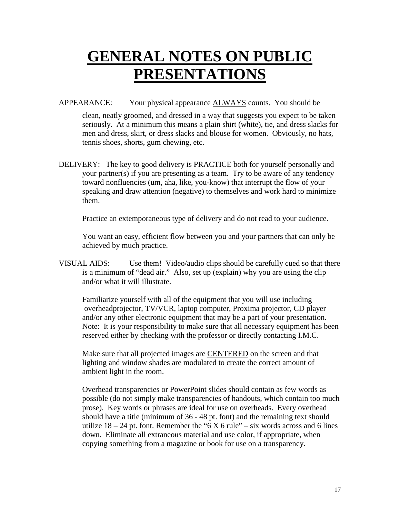## **GENERAL NOTES ON PUBLIC PRESENTATIONS**

APPEARANCE: Your physical appearance ALWAYS counts. You should be

clean, neatly groomed, and dressed in a way that suggests you expect to be taken seriously. At a minimum this means a plain shirt (white), tie, and dress slacks for men and dress, skirt, or dress slacks and blouse for women. Obviously, no hats, tennis shoes, shorts, gum chewing, etc.

DELIVERY: The key to good delivery is PRACTICE both for yourself personally and your partner(s) if you are presenting as a team. Try to be aware of any tendency toward nonfluencies (um, aha, like, you-know) that interrupt the flow of your speaking and draw attention (negative) to themselves and work hard to minimize them.

Practice an extemporaneous type of delivery and do not read to your audience.

You want an easy, efficient flow between you and your partners that can only be achieved by much practice.

VISUAL AIDS: Use them! Video/audio clips should be carefully cued so that there is a minimum of "dead air." Also, set up (explain) why you are using the clip and/or what it will illustrate.

 Familiarize yourself with all of the equipment that you will use including overheadprojector, TV/VCR, laptop computer, Proxima projector, CD player and/or any other electronic equipment that may be a part of your presentation. Note: It is your responsibility to make sure that all necessary equipment has been reserved either by checking with the professor or directly contacting I.M.C.

Make sure that all projected images are CENTERED on the screen and that lighting and window shades are modulated to create the correct amount of ambient light in the room.

Overhead transparencies or PowerPoint slides should contain as few words as possible (do not simply make transparencies of handouts, which contain too much prose). Key words or phrases are ideal for use on overheads. Every overhead should have a title (minimum of 36 - 48 pt. font) and the remaining text should utilize  $18 - 24$  pt. font. Remember the "6 X 6 rule" – six words across and 6 lines down. Eliminate all extraneous material and use color, if appropriate, when copying something from a magazine or book for use on a transparency.